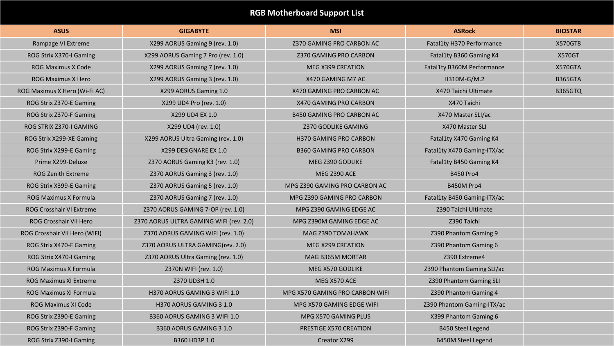## **RGB Motherboard Support List**

| <b>ASUS</b>                     | <b>GIGABYTE</b>                         | <b>MSI</b>                       | <b>ASRock</b>               | <b>BIOSTAR</b> |
|---------------------------------|-----------------------------------------|----------------------------------|-----------------------------|----------------|
| Rampage VI Extreme              | X299 AORUS Gaming 9 (rev. 1.0)          | Z370 GAMING PRO CARBON AC        | Fatal1ty H370 Performance   | X570GT8        |
| ROG Strix X370-I Gaming         | X299 AORUS Gaming 7 Pro (rev. 1.0)      | Z370 GAMING PRO CARBON           | Fatal1ty B360 Gaming K4     | <b>X570GT</b>  |
| <b>ROG Maximus X Code</b>       | X299 AORUS Gaming 7 (rev. 1.0)          | MEG X399 CREATION                | Fatal1ty B360M Performance  | X570GTA        |
| <b>ROG Maximus X Hero</b>       | X299 AORUS Gaming 3 (rev. 1.0)          | X470 GAMING M7 AC                | H310M-G/M.2                 | <b>B365GTA</b> |
| ROG Maximus X Hero (Wi-Fi AC)   | X299 AORUS Gaming 1.0                   | X470 GAMING PRO CARBON AC        | X470 Taichi Ultimate        | <b>B365GTQ</b> |
| ROG Strix Z370-E Gaming         | X299 UD4 Pro (rev. 1.0)                 | X470 GAMING PRO CARBON           | X470 Taichi                 |                |
| ROG Strix Z370-F Gaming         | X299 UD4 EX 1.0                         | <b>B450 GAMING PRO CARBON AC</b> | X470 Master SLI/ac          |                |
| ROG STRIX Z370-I GAMING         | X299 UD4 (rev. 1.0)                     | Z370 GODLIKE GAMING              | X470 Master SLI             |                |
| ROG Strix X299-XE Gaming        | X299 AORUS Ultra Gaming (rev. 1.0)      | H370 GAMING PRO CARBON           | Fatal1ty X470 Gaming K4     |                |
| ROG Strix X299-E Gaming         | X299 DESIGNARE EX 1.0                   | <b>B360 GAMING PRO CARBON</b>    | Fatal1ty X470 Gaming-ITX/ac |                |
| Prime X299-Deluxe               | Z370 AORUS Gaming K3 (rev. 1.0)         | MEG Z390 GODLIKE                 | Fatal1ty B450 Gaming K4     |                |
| <b>ROG Zenith Extreme</b>       | Z370 AORUS Gaming 3 (rev. 1.0)          | MEG Z390 ACE                     | <b>B450 Pro4</b>            |                |
| ROG Strix X399-E Gaming         | Z370 AORUS Gaming 5 (rev. 1.0)          | MPG Z390 GAMING PRO CARBON AC    | B450M Pro4                  |                |
| <b>ROG Maximus X Formula</b>    | Z370 AORUS Gaming 7 (rev. 1.0)          | MPG Z390 GAMING PRO CARBON       | Fatal1ty B450 Gaming-ITX/ac |                |
| <b>ROG Crosshair VI Extreme</b> | Z370 AORUS GAMING 7-OP (rev. 1.0)       | MPG Z390 GAMING EDGE AC          | Z390 Taichi Ultimate        |                |
| ROG Crosshair VII Hero          | Z370 AORUS ULTRA GAMING WIFI (rev. 2.0) | MPG Z390M GAMING EDGE AC         | Z390 Taichi                 |                |
| ROG Crosshair VII Hero (WIFI)   | Z370 AORUS GAMING WIFI (rev. 1.0)       | MAG Z390 TOMAHAWK                | Z390 Phantom Gaming 9       |                |
| ROG Strix X470-F Gaming         | Z370 AORUS ULTRA GAMING(rev. 2.0)       | MEG X299 CREATION                | Z390 Phantom Gaming 6       |                |
| ROG Strix X470-I Gaming         | Z370 AORUS Ultra Gaming (rev. 1.0)      | MAG B365M MORTAR                 | Z390 Extreme4               |                |
| <b>ROG Maximus X Formula</b>    | Z370N WIFI (rev. 1.0)                   | MEG X570 GODLIKE                 | Z390 Phantom Gaming SLI/ac  |                |
| <b>ROG Maximus XI Extreme</b>   | Z370 UD3H 1.0                           | MEG X570 ACE                     | Z390 Phantom Gaming SLI     |                |
| <b>ROG Maximus XI Formula</b>   | H370 AORUS GAMING 3 WIFI 1.0            | MPG X570 GAMING PRO CARBON WIFI  | Z390 Phantom Gaming 4       |                |
| ROG Maximus XI Code             | H370 AORUS GAMING 3 1.0                 | MPG X570 GAMING EDGE WIFI        | Z390 Phantom Gaming-ITX/ac  |                |
| ROG Strix Z390-E Gaming         | B360 AORUS GAMING 3 WIFI 1.0            | MPG X570 GAMING PLUS             | X399 Phantom Gaming 6       |                |
| ROG Strix Z390-F Gaming         | B360 AORUS GAMING 3 1.0                 | PRESTIGE X570 CREATION           | <b>B450 Steel Legend</b>    |                |
| ROG Strix Z390-I Gaming         | B360 HD3P 1.0                           | Creator X299                     | <b>B450M Steel Legend</b>   |                |